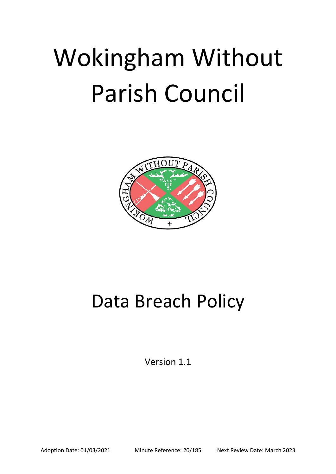# Wokingham Without Parish Council



# Data Breach Policy

Version 1.1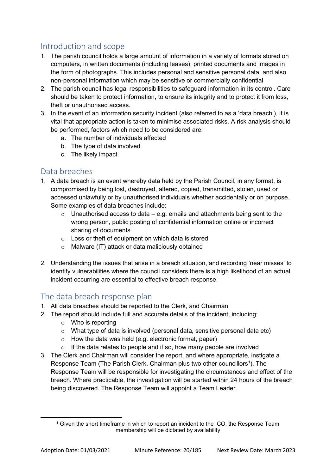# Introduction and scope

- 1. The parish council holds a large amount of information in a variety of formats stored on computers, in written documents (including leases), printed documents and images in the form of photographs. This includes personal and sensitive personal data, and also non-personal information which may be sensitive or commercially confidential
- 2. The parish council has legal responsibilities to safeguard information in its control. Care should be taken to protect information, to ensure its integrity and to protect it from loss, theft or unauthorised access.
- 3. In the event of an information security incident (also referred to as a 'data breach'), it is vital that appropriate action is taken to minimise associated risks. A risk analysis should be performed, factors which need to be considered are:
	- a. The number of individuals affected
	- b. The type of data involved
	- c. The likely impact

#### Data breaches

- 1. A data breach is an event whereby data held by the Parish Council, in any format, is compromised by being lost, destroyed, altered, copied, transmitted, stolen, used or accessed unlawfully or by unauthorised individuals whether accidentally or on purpose. Some examples of data breaches include:
	- $\circ$  Unauthorised access to data e.g. emails and attachments being sent to the wrong person, public posting of confidential information online or incorrect sharing of documents
	- $\circ$  Loss or theft of equipment on which data is stored
	- o Malware (IT) attack or data maliciously obtained
- 2. Understanding the issues that arise in a breach situation, and recording 'near misses' to identify vulnerabilities where the council considers there is a high likelihood of an actual incident occurring are essential to effective breach response.

#### The data breach response plan

- 1. All data breaches should be reported to the Clerk, and Chairman
- 2. The report should include full and accurate details of the incident, including:
	- o Who is reporting
	- $\circ$  What type of data is involved (personal data, sensitive personal data etc)
	- o How the data was held (e.g. electronic format, paper)
	- If the data relates to people and if so, how many people are involved
- 3. The Clerk and Chairman will consider the report, and where appropriate, instigate a Response Team (The Parish Clerk, Chairman plus two other councillors<sup>1</sup>). The Response Team will be responsible for investigating the circumstances and effect of the breach. Where practicable, the investigation will be started within 24 hours of the breach being discovered. The Response Team will appoint a Team Leader.

**.** 

<sup>1</sup> Given the short timeframe in which to report an incident to the ICO, the Response Team membership will be dictated by availability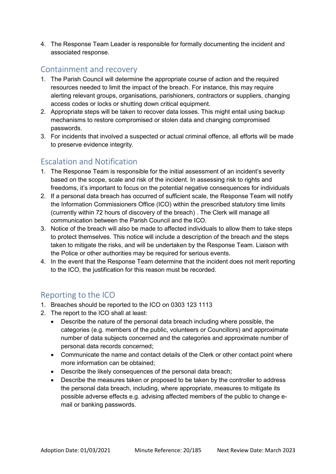4. The Response Team Leader is responsible for formally documenting the incident and associated response.

#### Containment and recovery

- 1. The Parish Council will determine the appropriate course of action and the required resources needed to limit the impact of the breach. For instance, this may require alerting relevant groups, organisations, parishioners, contractors or suppliers, changing access codes or locks or shutting down critical equipment.
- 2. Appropriate steps will be taken to recover data losses. This might entail using backup mechanisms to restore compromised or stolen data and changing compromised passwords.
- 3. For incidents that involved a suspected or actual criminal offence, all efforts will be made to preserve evidence integrity.

## Escalation and Notification

- 1. The Response Team is responsible for the initial assessment of an incident's severity based on the scope, scale and risk of the incident. In assessing risk to rights and freedoms, it's important to focus on the potential negative consequences for individuals
- 2. If a personal data breach has occurred of sufficient scale, the Response Team will notify the Information Commissioners Office (ICO) within the prescribed statutory time limits (currently within 72 hours of discovery of the breach) . The Clerk will manage all communication between the Parish Council and the ICO.
- 3. Notice of the breach will also be made to affected individuals to allow them to take steps to protect themselves. This notice will include a description of the breach and the steps taken to mitigate the risks, and will be undertaken by the Response Team. Liaison with the Police or other authorities may be required for serious events.
- 4. In the event that the Response Team determine that the incident does not merit reporting to the ICO, the justification for this reason must be recorded.

#### Reporting to the ICO

- 1. Breaches should be reported to the ICO on 0303 123 1113
- 2. The report to the ICO shall at least:
	- Describe the nature of the personal data breach including where possible, the categories (e.g. members of the public, volunteers or Councillors) and approximate number of data subjects concerned and the categories and approximate number of personal data records concerned;
	- Communicate the name and contact details of the Clerk or other contact point where more information can be obtained;
	- Describe the likely consequences of the personal data breach;
	- Describe the measures taken or proposed to be taken by the controller to address the personal data breach, including, where appropriate, measures to mitigate its possible adverse effects e.g. advising affected members of the public to change email or banking passwords.